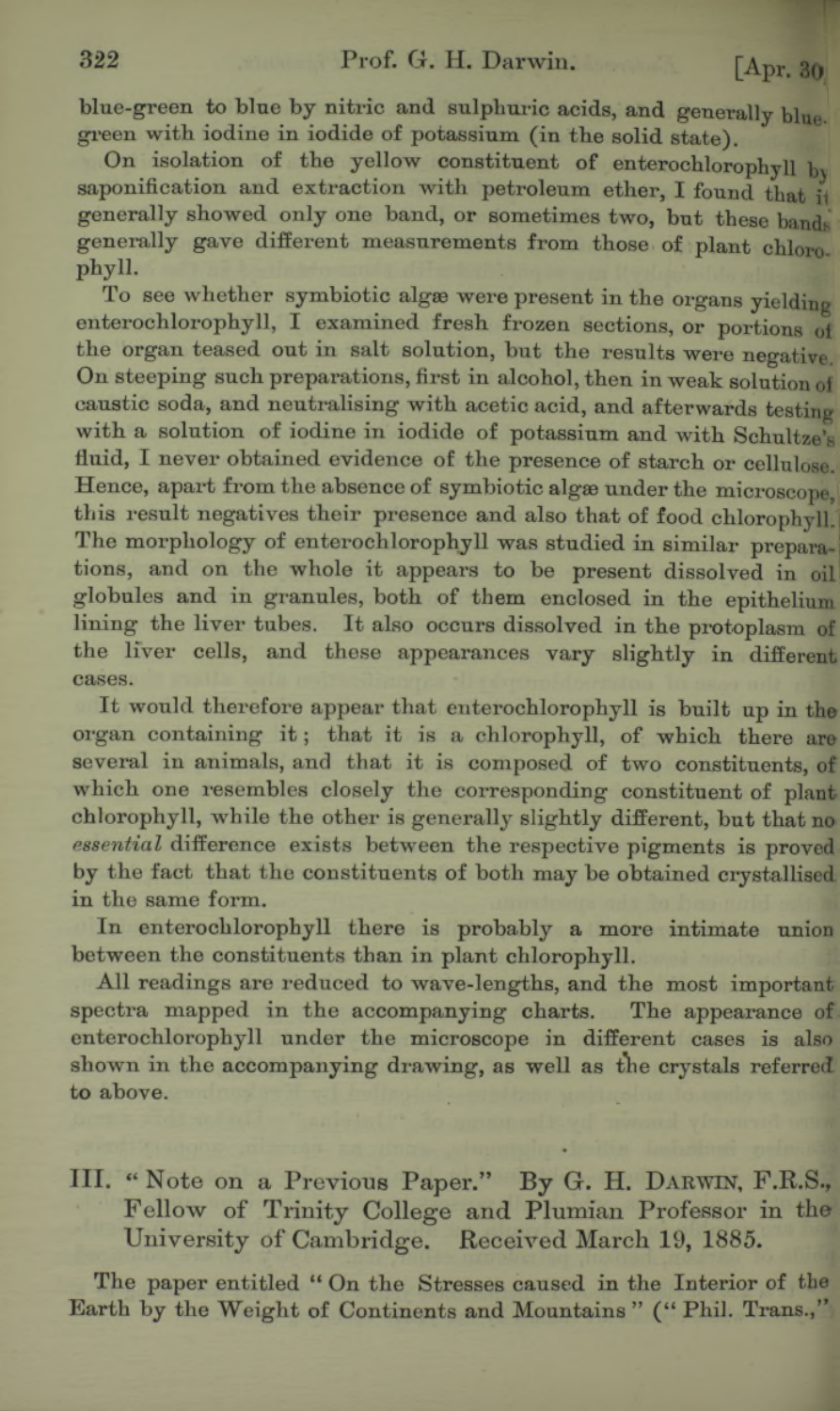**blue-green to blue by nitric and sulphuric acids, and generally blue green with iodine in iodide of potassium (in the solid state).**

**On isolation of the yellow constituent of enterochlorophyll b\ saponification and extraction with petroleum ether, I found that it generally showed only one band, or sometimes two, but these bands generally gave different measurements from those of plant chlorophyll.**

**To see whether symbiotic algae were present in the organs yielding enterochlorophyll, I examined fresh frozen sections, or portions of the organ teased out in salt solution, but the results were negative. On steeping such preparations, first in alcohol, then in weak solution of caustic soda, and neutralising with acetic acid, and afterwards testing with a solution of iodine in iodide of potassium and with Schultze's fluid, I never obtained evidence of the presence of starch or cellulose. Hence, apart from the absence of symbiotic algae under the microscope, this result negatives their presence and also that of food chlorophyll.] The morphology of enterochlorophyll was studied in similar prepara-l tions, and on the whole it appears to be present dissolved in oil globules and in granules, both of them enclosed in the epithelium lining the liver tubes. It also occurs dissolved in the protoplasm of the liver cells, and these appearances vary slightly in different cases.**

**It would therefore appear that enterochlorophyll is built up in the** organ containing it; that it is a chlorophyll, of which there are **several in animals, and that it is composed of two constituents, of which one resembles closely the corresponding constituent of plant chlorophyll, while the other is generally slightly different, but that no** *essential* **difference exists between the respective pigments is proved by the fact that the constituents of both may be obtained crystallised in the same form.**

**In enterochlorophyll there is probably a more intimate union between the constituents than in plant chlorophyll.**

**All readings are reduced to wave-lengths, and the most important spectra mapped in the accompanying charts. The appearance of enterochlorophyll under the microscope in different cases is also shown in the accompanying drawing, as well as the crystals referred to above.**

# III. " Note on a Previous Paper." By **G.** H. **Darwin,** F.R.S., Fellow of Trinity College and Plumian Professor in the University of Cambridge. Received March 19, 1885.

**The paper entitled " On the Stresses caused in the Interior of the** Earth by the Weight of Continents and Mountains" ("Phil. Trans.,"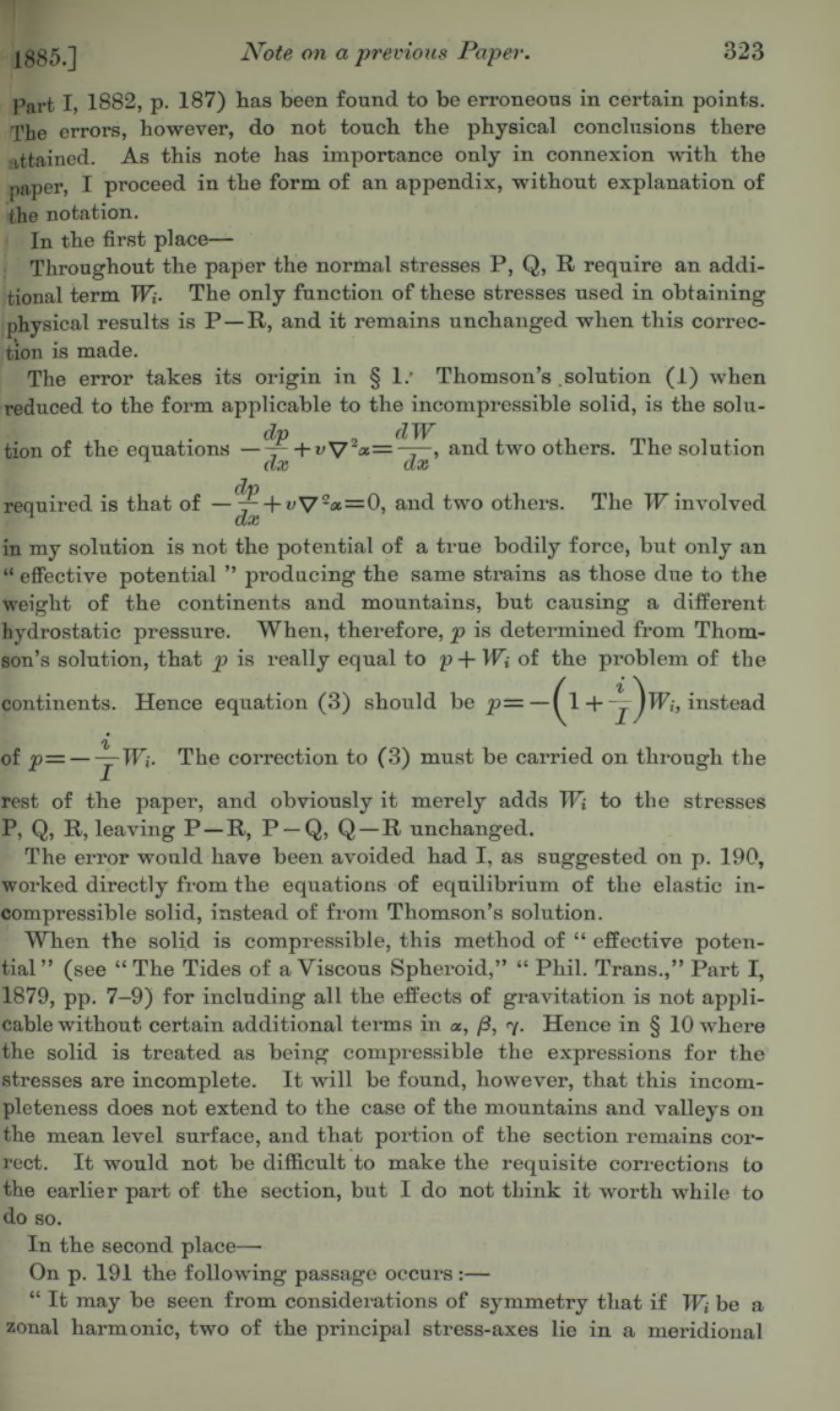**1885.]** *Note on a previous Paper.* **323** 

**Part I, 1882, p. 187) has teen found to be erroneous in certain points. The errors, however, do not touch the physical conclusions there attained. As this note has importance only in connexion with the paper, I proceed in the form of an appendix, without explanation of the notation.**

In the first place—

**Throughout the paper the normal stresses P, Q, R require an additional term** *Wi.* **The only function of these stresses used in obtaining** physical results is P-R, and it remains unchanged when this correc**tion is made.**

The error takes its origin in § 1.' Thomson's solution (1) when **reduced to the form applicable to the incompressible solid, is the solution of the equations**  $-\frac{T}{dx} + v\nabla^2 x = \frac{T}{dx}$ **, and two others. The solution** required is that of  $-\frac{dp}{dx} + v\nabla^2 \alpha = 0$ , and two others. The *W* involved **in my solution is not the potential of a true bodily force, but only an " effective potential " producing the same strains as those due to the weight of the continents and mountains, but causing a different hydrostatic pressure. When, therefore,** *p* **is determined from Thomson's solution, that**  $p$  is really equal to  $p + W_i$  of the problem of the continents. Hence equation (3) should be  $p = -\left(1 + \frac{i}{I}\right)W_i$ , instead of  $p = -\frac{i}{\tau}W_i$ . The correction to (3) must be carried on through the

**rest of the paper, and obviously it merely adds** *Wi* **to the stresses P, Q, R, leaving P —R, P —Q, Q—R unchanged.**

**The error would have been avoided had I, as suggested on p. 190, worked directly from the equations of equilibrium of the elastic incompressible solid, instead of from Thomson's solution.**

When the solid is compressible, this method of " effective poten**tial" (see " The Tides of a Viscous Spheroid," " Phil. Trans.," Part I, 1879, pp. 7—9) for including all the effects of gravitation is not appli**cable without certain additional terms in  $\alpha$ ,  $\beta$ ,  $\gamma$ . Hence in § 10 where **the solid is treated as being compressible the expressions for the stresses are incomplete. It will be found, however, that this incompleteness does not extend to the case of the mountains and valleys on the mean level surface, and that portion of the section remains correct. It would not be difficult to make the requisite corrections to the earlier part of the section, but I do not think it worth while to do so.**

**In the second place—**

**On p. 191 the following passage occurs :—**

"It may be seen from considerations of symmetry that if  $W_i$  be a **zonal harmonic, two of the principal stress-axes lie in a meridional**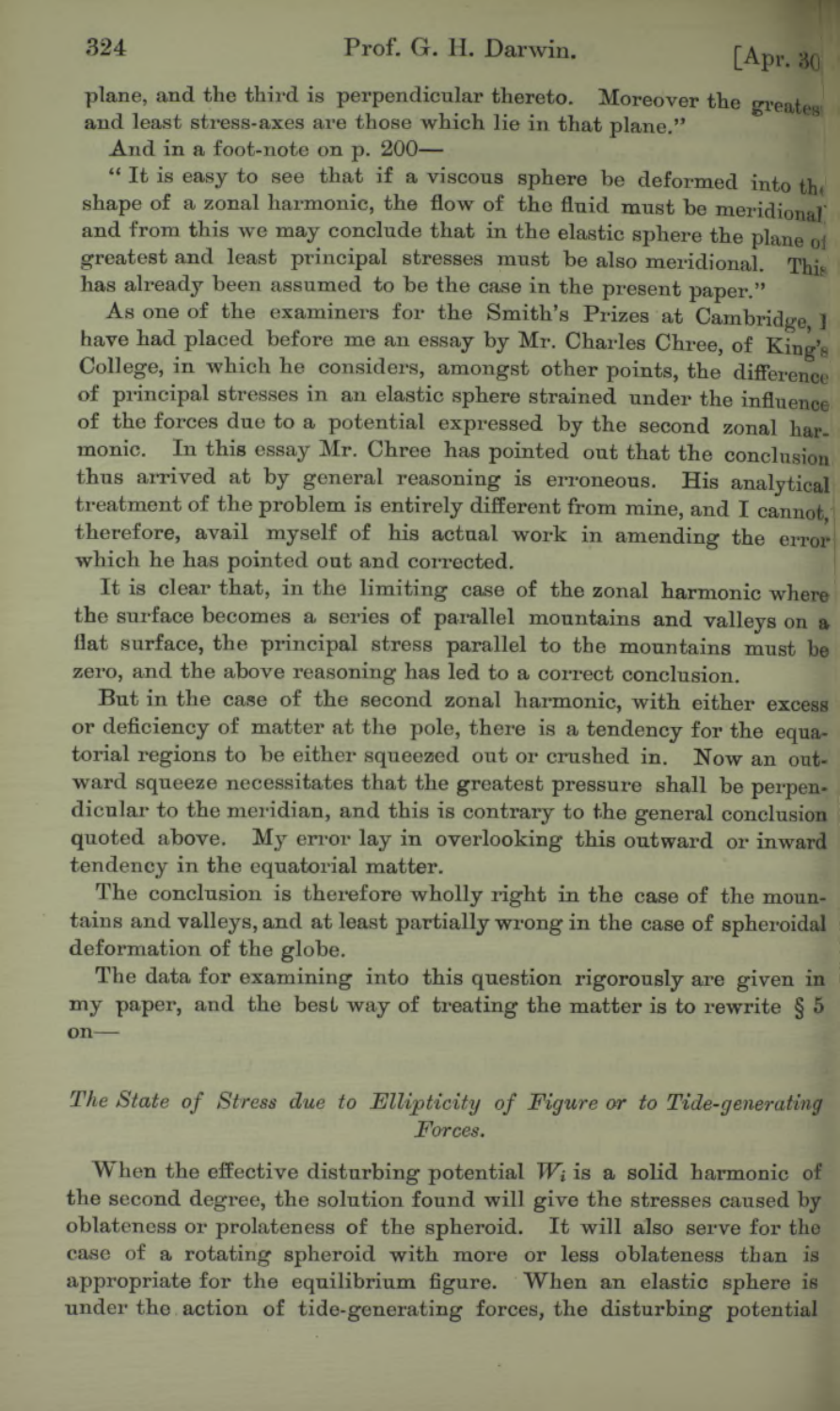plane, and the third is perpendicular thereto. Moreover the greatest **and least stress-axes are those which lie in that plane."**

**And in a foot-note on p. 200—**

" It is easy to see that if a viscous sphere be deformed into the **shape of a zonal harmonic, the flow of the fluid must be meridional and from this we may conclude that in the elastic sphere the plane of greatest and least principal stresses must be also meridional. This has already been assumed to be the case in the present paper."**

**As one of the examiners for the Smith's Prizes at Cambridge, I have had placed before me an essay by Mr. Charles Chree, of King's College, in which he considers, amongst other points, the difference of principal stresses in an elastic sphere strained under the influence of the forces due to a potential expressed by the second zonal harmonic. In this essay Mr. Chree has pointed out that the conclusion thus arrived at by general reasoning is erroneous. His analytical** treatment of the problem is entirely different from mine, and I cannot. **therefore, avail myself of his actual work in amending the error which he has pointed out and corrected.**

**It is clear that, in the limiting case of the zonal harmonic where the surface becomes a series of parallel mountains and valleys on** a **flat surface, the principal stress parallel to the mountains must be zero, and the above reasoning has led to a correct conclusion.**

**But in the case of the second zonal harmonic, with either excess or deficiency of matter at the pole, there is a tendency for the equatorial regions to be either squeezed out or crushed in. Now an outward squeeze necessitates that the greatest pressure shall be perpendicular to the meridian, and this is contrary to the general conclusion quoted above. My error lay in overlooking this outward or inward tendency in the equatorial matter.**

**The conclusion is therefore wholly right in the case of the mountains and valleys, and at least partially wrong in the case of spheroidal deformation of the globe.**

**The data for examining into this question rigorously are given in my paper, and the best way of treating the matter is to rewrite § 5 on—**

### *The State of Stress due to Fllipticity of Figure or to Tide-generating Forces.*

When the effective disturbing potential  $W_i$  is a solid harmonic of **the second degree, the solution found will give the stresses caused by oblateness or prolateness of the spheroid. It will also serve for the case of a rotating spheroid with more or less oblateness than is appropriate for the equilibrium figure. When an elastic sphere is under the. action of tide-generating forces, the disturbing potential**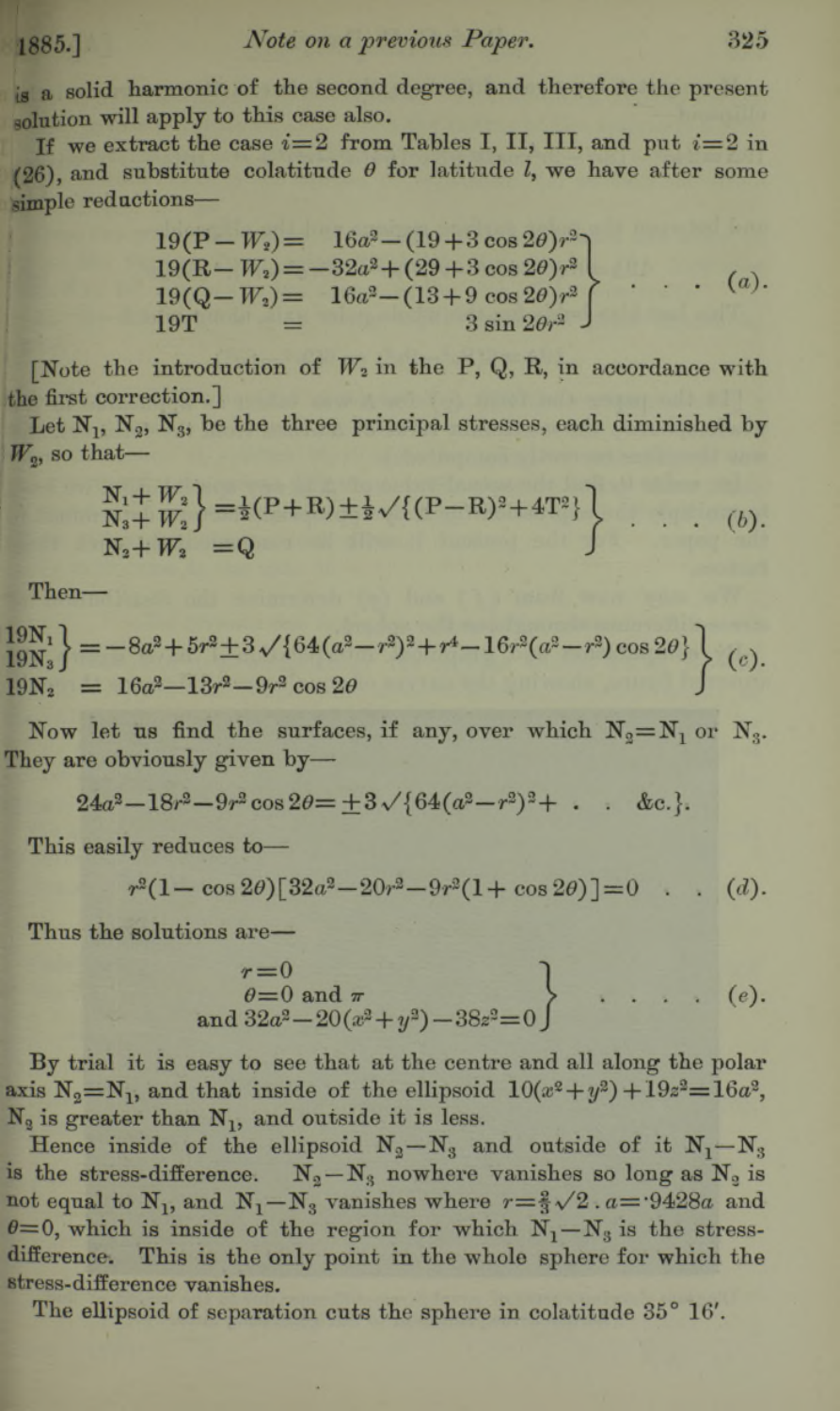## **1885.]** *Note on a previous Paper.* **325**

**is a solid harmonic of the second degree, and therefore the present** solution **will apply to this case also.**

If we extract the case  $i=2$  from Tables I, II, III, and put  $i=2$  in **(26), and substitute colatitude** *6* **for latitude** *l,* **we have after some simple reductions—**

$$
19(\text{P}-W_2) = 16a^2 - (19+3\cos 2\theta)r^2
$$
  
\n
$$
19(\text{R}-W_2) = -32a^2 + (29+3\cos 2\theta)r^2
$$
  
\n
$$
19(Q-W_2) = 16a^2 - (13+9\cos 2\theta)r^2
$$
  
\n
$$
19T = 3\sin 2\theta r^2
$$
 (a).

[Note the introduction of  $W_2$  in the P, Q, R, in accordance with **the first correction.]**

Let  $N_1$ ,  $N_2$ ,  $N_3$ , be the three principal stresses, each diminished by  $W<sub>o</sub>$ , so that—

$$
\begin{array}{l}\n\mathbf{N}_1 + W_2 \\
\mathbf{N}_3 + W_2\n\end{array}\n=\frac{1}{2}(P + R) \pm \frac{1}{2} \sqrt{\{(P - R)^2 + 4T^2\}}\n\begin{array}{ccc}\n\mathbf{N}_3 + W_2 & = Q\n\end{array}
$$
\n(b)

**Then-**

$$
\begin{array}{l}\n\left.\begin{array}{l}\n19\text{N}_1 \\
19\text{N}_3\n\end{array}\right\} = -8a^2 + 5r^2 \pm 3\sqrt{64(a^2 - r^2)^2 + r^4} - 16r^2(a^2 - r^2)\cos 2\theta\} \\
19\text{N}_2 = 16a^2 - 13r^2 - 9r^2\cos 2\theta\n\end{array}\n\bigg\} \quad (c).
$$

Now let us find the surfaces, if any, over which  $N_0 = N_1$  or  $N_3$ . **They are obviously given by—**

$$
24a^3 - 18r^2 - 9r^2 \cos 2\theta = \pm 3\sqrt{64(a^2 - r^2)^2 + \ldots} \&c.\}.
$$

**This easily reduces to—**

$$
r^{2}(1-\cos 2\theta)[32a^{2}-20r^{2}-9r^{2}(1+\cos 2\theta)]=0 \quad . \quad (d).
$$

**Thus the solutions are—**

$$
\begin{array}{c}\n r=0 \\
 \theta=0 \text{ and } \pi \\
 \text{and } 32a^2-20(x^2+y^2)-38z^2=0\n\end{array}\n\bigg\}\n\qquad.\n\qquad.\n\qquad.\n\qquad (e).
$$

**By trial it is easy to see that at the centre and all along the polar** axis  $N_0 = N_1$ , and that inside of the ellipsoid  $10(x^2 + y^2) + 19z^2 = 16a^3$ , **N2 is greater than N1} and outside it is less.**

Hence inside of the ellipsoid  $N_2-N_3$  and outside of it  $N_1-N_3$ is the stress-difference.  $N_2-N_3$  nowhere vanishes so long as  $N_2$  is not equal to  $N_1$ , and  $N_1-N_3$  vanishes where  $r = \frac{2}{3}\sqrt{2} \cdot a = 9428a$  and  $\theta = 0$ , which is inside of the region for which  $N_1 - N_3$  is the stress**difference-. This is the only point in the whole sphere for which the stress-difference vanishes.**

**The ellipsoid of separation cuts the sphere in colatitude 35° 16'.**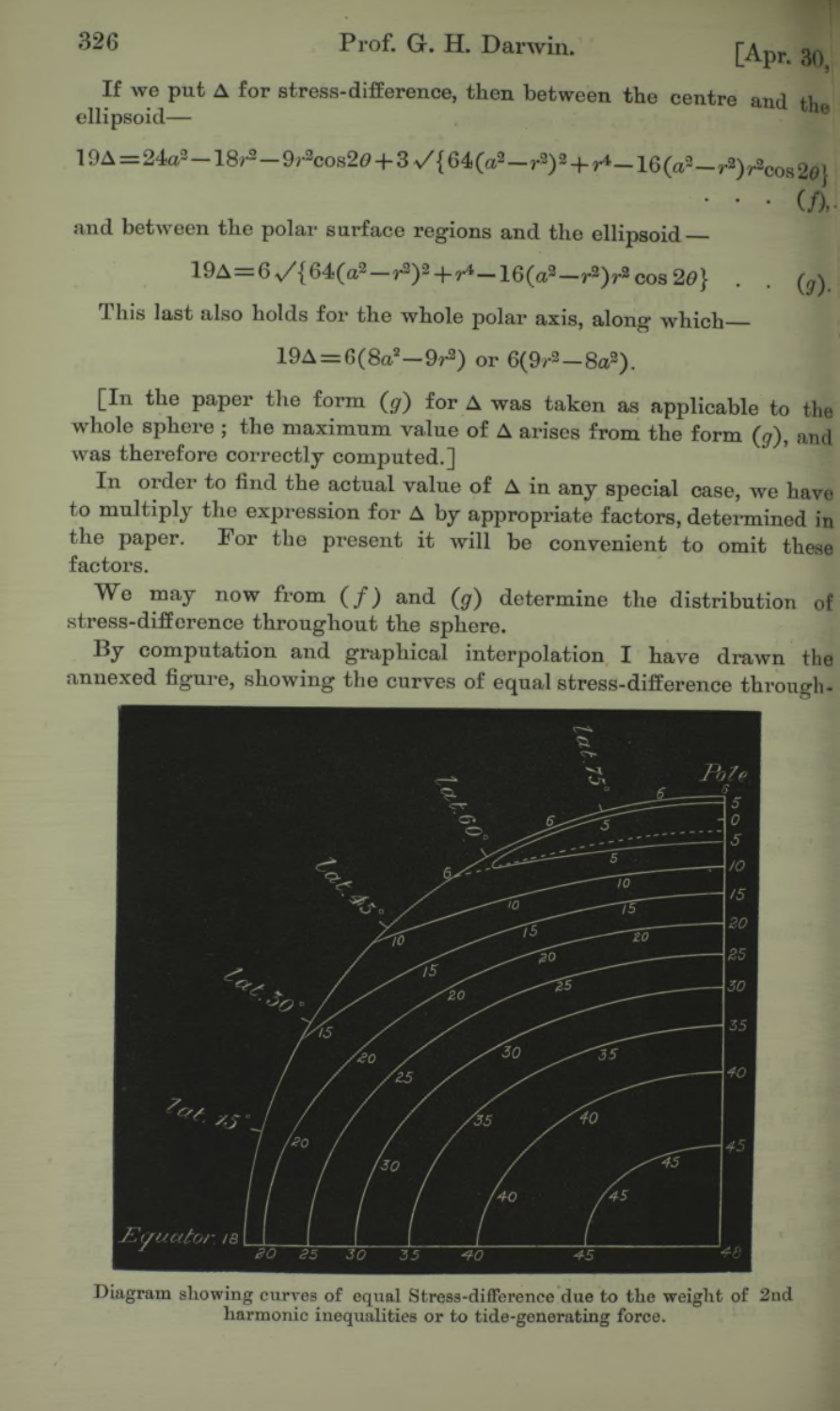If we put  $\Delta$  for stress-difference, then between the centre and the ellipsoid—

$$
19\Delta = 24a^3 - 18r^2 - 9r^2\cos 2\theta + 3\sqrt{64(a^2 - r^2)^2 + r^4 - 16(a^2 - r^2)r^2\cos 2\theta}
$$
  
... (f),

**and between the polar surface regions and the ellipsoid\_**

$$
19\Delta = 6\sqrt{64(a^2 - r^2)^2 + r^4 - 16(a^2 - r^2)r^2\cos 2\theta}
$$
 (a)

**This last also holds for the whole polar axis, along which\_\_**

$$
19\Delta = 6(8a^2 - 9r^2) \text{ or } 6(9r^2 - 8a^2).
$$

 $\lceil \text{In the paper the form } (g) \text{ for } \Delta \text{ was taken as applicable to the }$ whole sphere; the maximum value of  $\Delta$  arises from the form  $(q)$ , and **was therefore correctly computed.]**

In order to find the actual value of  $\Delta$  in any special case, we have **to multiply the expression for** A **by appropriate factors, determined in the paper. For the present it will be convenient to omit these factors.**

We may now from  $(f)$  and  $(g)$  determine the distribution of **stress-difference throughout the sphere.**

**By computation and graphical interpolation, I have drawn the annexed figure, showing the curves of equal stress-difference through-**



**Diagram showing curves of equal Stress-difference due to the weight of 2nd harmonic inequalities or to tide-generating force.**

[Apr. 30,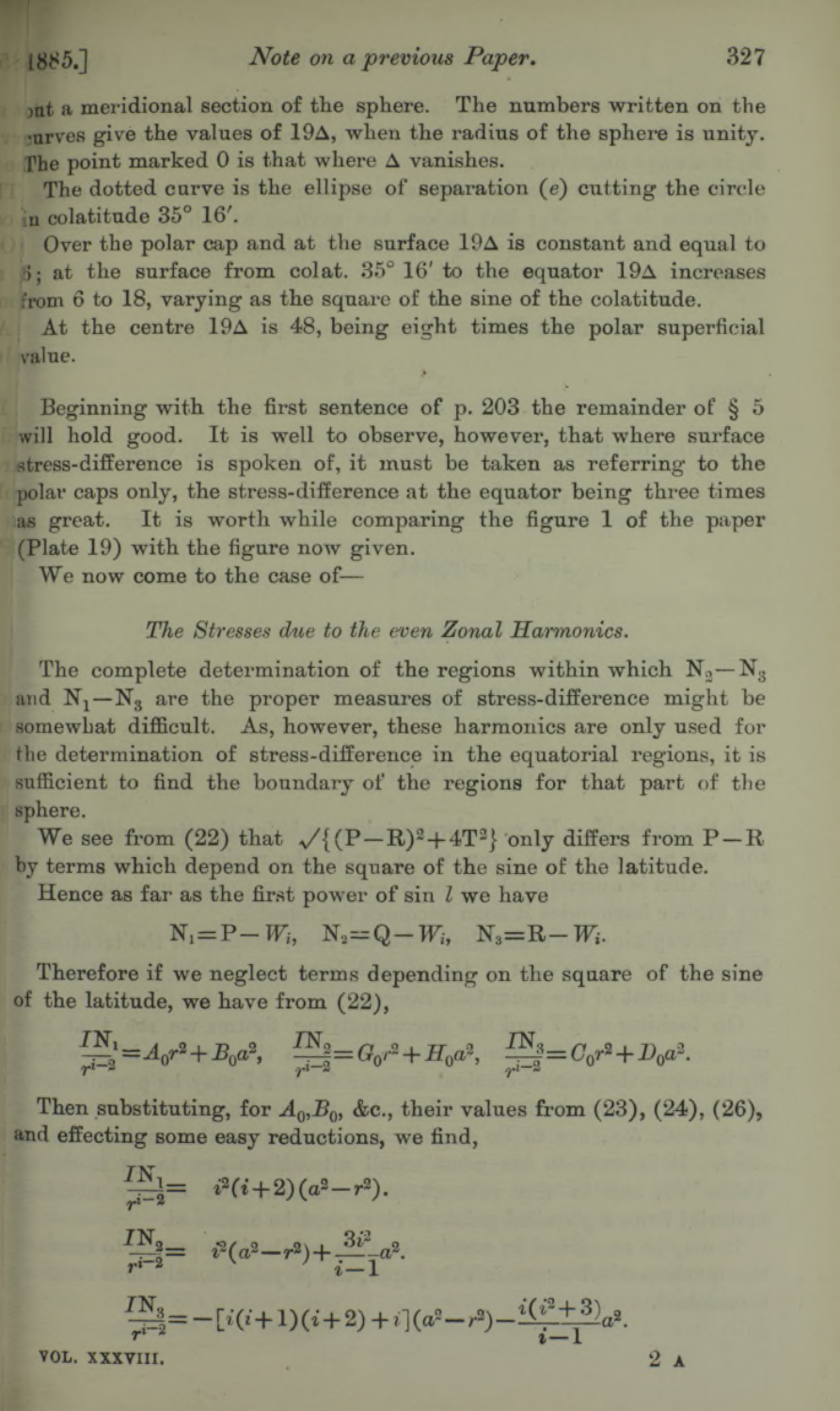**jut a meridional section of the sphere. The numbers written on the** curves give the values of 19 $\Delta$ , when the radius of the sphere is unity. The point marked  $0$  is that where  $\Delta$  vanishes.

The dotted curve is the ellipse of separation (e) cutting the circle in colatitude 35° 16'.

**i** Over the polar cap and at the surface  $19\Delta$  is constant and equal to  $\frac{1}{2}$  **i** at the surface from colat.  $35^{\circ}$  16' to the equator  $19\Delta$  increases **from 6 to 18, varying as the square of the sine of the colatitude,**

At the centre 19 $\Delta$  is 48, being eight times the polar superficial **value.**

**Beginning with the first sentence of p. 203 the remainder of § 5** will hold good. It is well to observe, however, that where surface **stress-difference is spoken of, it must be taken as referring to the polar caps only, the stress-difference at the equator being three times** las **great. It is worth while comparing the figure 1 of the paper (Plate 19) with the figure now given.**

**We now come to the case of—**

#### *The Stresses due to the even Zonal Harmonics.*

The complete determination of the regions within which  $N_2-N_3$ and  $N_1-N_2$  are the proper measures of stress-difference might be **somewhat difficult. As, however, these harmonics are only used for the determination of stress-difference in the equatorial regions, it is sufficient to find the boundary of the regions for that part of the sphere.**

We see from (22) that  $\sqrt{(P-R)^2+4T^2}$  only differs from P-R **by terms which depend on the square of the sine of the latitude.**

Hence as far as the first power of sin *l* we have

$$
N_i = P - W_i, \quad N_i = Q - W_i, \quad N_i = R - W_i.
$$

**Therefore if we neglect terms depending on the square of the sine of the latitude, we have from (22),**

$$
\frac{I N_1}{r^{i-2}} = A_0 r^2 + B_0 a^2, \quad \frac{I N_2}{r^{i-2}} = G_0 r^2 + H_0 a^2, \quad \frac{I N_3}{r^{i-2}} = C_0 r^2 + D_0 a^2.
$$

Then substituting, for  $A_0, B_0$ , &c., their values from  $(23)$ ,  $(24)$ ,  $(26)$ , **and effecting some easy reductions, we find,**

$$
\frac{IN_1}{r^{i-2}} = i^2(i+2)(a^2-r^2).
$$
\n
$$
\frac{IN_2}{r^{i-2}} = i^2(a^2-r^2) + \frac{3i^2}{i-1}a^2.
$$
\n
$$
\frac{IN_3}{r^{i-2}} = -[i(i+1)(i+2) + i](a^2-r^2) - \frac{i(i^2+3)}{i-1}a^2.
$$
\nvol. XXXVIII.